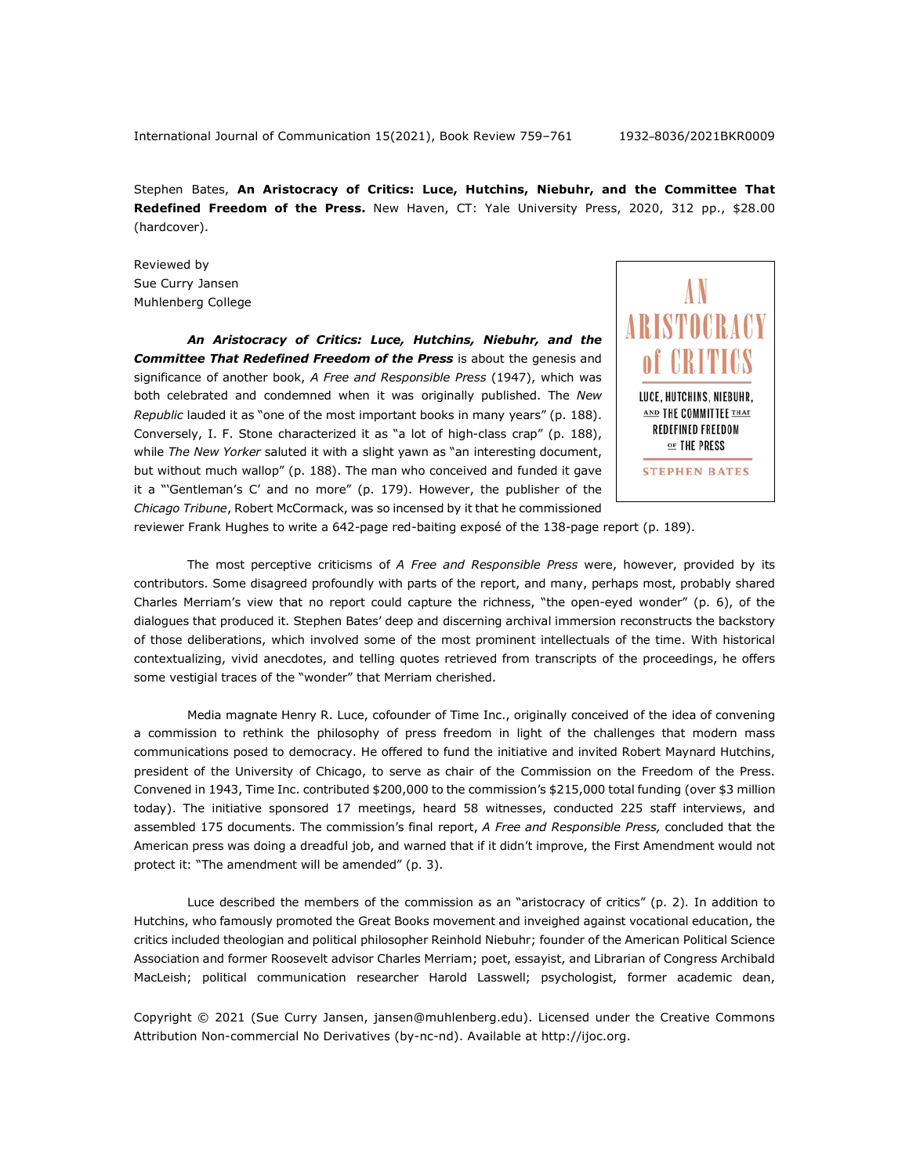Stephen Bates, **An Aristocracy of Critics: Luce, Hutchins, Niebuhr, and the Committee That Redefined Freedom of the Press.** New Haven, CT: Yale University Press, 2020, 312 pp., \$28.00 (hardcover).

Reviewed by Sue Curry Jansen Muhlenberg College

*An Aristocracy of Critics: Luce, Hutchins, Niebuhr, and the Committee That Redefined Freedom of the Press* is about the genesis and significance of another book, *A Free and Responsible Press* (1947), which was both celebrated and condemned when it was originally published. The *New Republic* lauded it as "one of the most important books in many years" (p. 188). Conversely, I. F. Stone characterized it as "a lot of high-class crap" (p. 188), while *The New Yorker* saluted it with a slight yawn as "an interesting document, but without much wallop" (p. 188). The man who conceived and funded it gave it a "'Gentleman's C' and no more" (p. 179). However, the publisher of the *Chicago Tribune*, Robert McCormack, was so incensed by it that he commissioned



reviewer Frank Hughes to write a 642-page red-baiting exposé of the 138-page report (p. 189).

The most perceptive criticisms of *A Free and Responsible Press* were, however, provided by its contributors. Some disagreed profoundly with parts of the report, and many, perhaps most, probably shared Charles Merriam's view that no report could capture the richness, "the open-eyed wonder" (p. 6), of the dialogues that produced it. Stephen Bates' deep and discerning archival immersion reconstructs the backstory of those deliberations, which involved some of the most prominent intellectuals of the time. With historical contextualizing, vivid anecdotes, and telling quotes retrieved from transcripts of the proceedings, he offers some vestigial traces of the "wonder" that Merriam cherished.

Media magnate Henry R. Luce, cofounder of Time Inc., originally conceived of the idea of convening a commission to rethink the philosophy of press freedom in light of the challenges that modern mass communications posed to democracy. He offered to fund the initiative and invited Robert Maynard Hutchins, president of the University of Chicago, to serve as chair of the Commission on the Freedom of the Press. Convened in 1943, Time Inc. contributed \$200,000 to the commission's \$215,000 total funding (over \$3 million today). The initiative sponsored 17 meetings, heard 58 witnesses, conducted 225 staff interviews, and assembled 175 documents. The commission's final report, *A Free and Responsible Press,* concluded that the American press was doing a dreadful job, and warned that if it didn't improve, the First Amendment would not protect it: "The amendment will be amended" (p. 3).

Luce described the members of the commission as an "aristocracy of critics" (p. 2). In addition to Hutchins, who famously promoted the Great Books movement and inveighed against vocational education, the critics included theologian and political philosopher Reinhold Niebuhr; founder of the American Political Science Association and former Roosevelt advisor Charles Merriam; poet, essayist, and Librarian of Congress Archibald MacLeish; political communication researcher Harold Lasswell; psychologist, former academic dean,

Copyright © 2021 (Sue Curry Jansen, jansen@muhlenberg.edu). Licensed under the Creative Commons Attribution Non-commercial No Derivatives (by-nc-nd). Available at http://ijoc.org.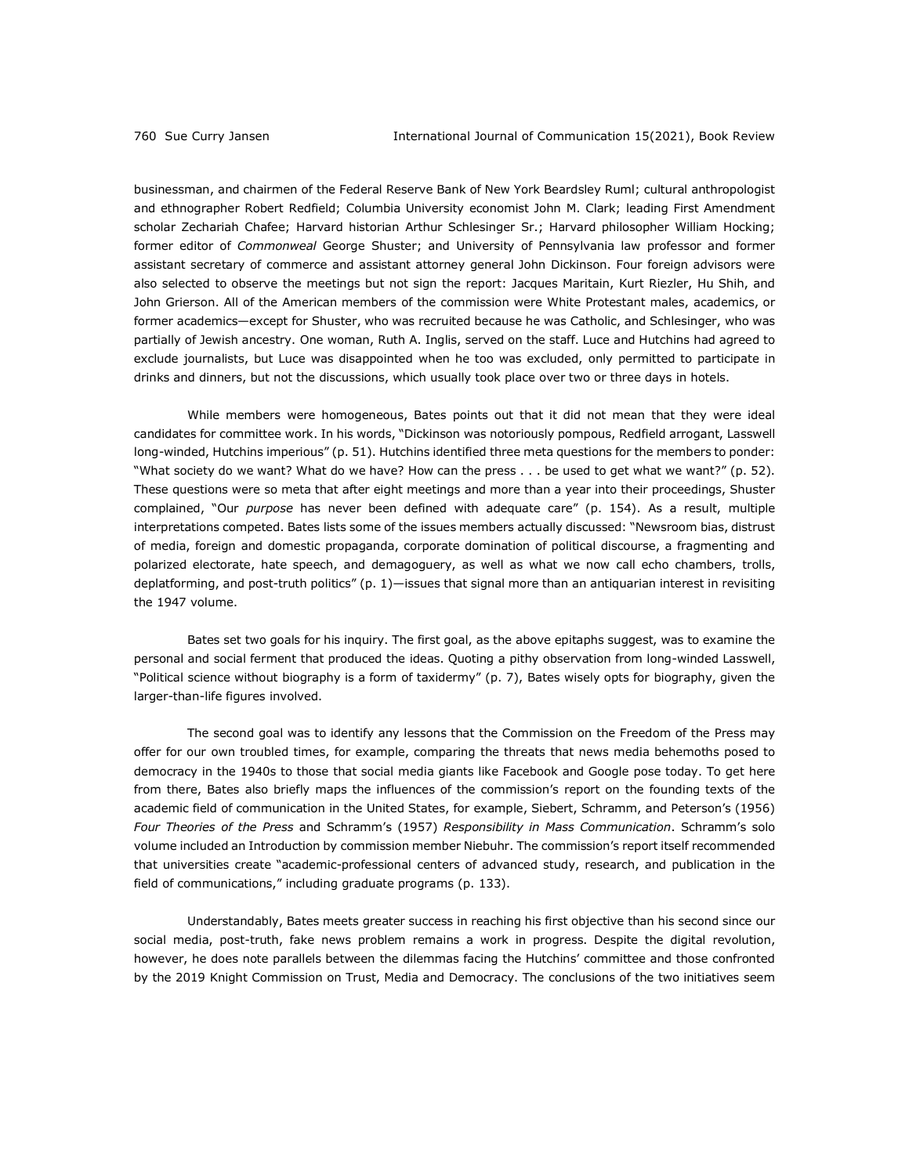businessman, and chairmen of the Federal Reserve Bank of New York Beardsley Ruml; cultural anthropologist and ethnographer Robert Redfield; Columbia University economist John M. Clark; leading First Amendment scholar Zechariah Chafee; Harvard historian Arthur Schlesinger Sr.; Harvard philosopher William Hocking; former editor of *Commonweal* George Shuster; and University of Pennsylvania law professor and former assistant secretary of commerce and assistant attorney general John Dickinson. Four foreign advisors were also selected to observe the meetings but not sign the report: Jacques Maritain, Kurt Riezler, Hu Shih, and John Grierson. All of the American members of the commission were White Protestant males, academics, or former academics—except for Shuster, who was recruited because he was Catholic, and Schlesinger, who was partially of Jewish ancestry. One woman, Ruth A. Inglis, served on the staff. Luce and Hutchins had agreed to exclude journalists, but Luce was disappointed when he too was excluded, only permitted to participate in drinks and dinners, but not the discussions, which usually took place over two or three days in hotels.

While members were homogeneous, Bates points out that it did not mean that they were ideal candidates for committee work. In his words, "Dickinson was notoriously pompous, Redfield arrogant, Lasswell long-winded, Hutchins imperious" (p. 51). Hutchins identified three meta questions for the members to ponder: "What society do we want? What do we have? How can the press . . . be used to get what we want?" (p. 52). These questions were so meta that after eight meetings and more than a year into their proceedings, Shuster complained, "Our *purpose* has never been defined with adequate care" (p. 154). As a result, multiple interpretations competed. Bates lists some of the issues members actually discussed: "Newsroom bias, distrust of media, foreign and domestic propaganda, corporate domination of political discourse, a fragmenting and polarized electorate, hate speech, and demagoguery, as well as what we now call echo chambers, trolls, deplatforming, and post-truth politics" (p. 1)—issues that signal more than an antiquarian interest in revisiting the 1947 volume.

Bates set two goals for his inquiry. The first goal, as the above epitaphs suggest, was to examine the personal and social ferment that produced the ideas. Quoting a pithy observation from long-winded Lasswell, "Political science without biography is a form of taxidermy" (p. 7), Bates wisely opts for biography, given the larger-than-life figures involved.

The second goal was to identify any lessons that the Commission on the Freedom of the Press may offer for our own troubled times, for example, comparing the threats that news media behemoths posed to democracy in the 1940s to those that social media giants like Facebook and Google pose today. To get here from there, Bates also briefly maps the influences of the commission's report on the founding texts of the academic field of communication in the United States, for example, Siebert, Schramm, and Peterson's (1956) *Four Theories of the Press* and Schramm's (1957) *Responsibility in Mass Communication*. Schramm's solo volume included an Introduction by commission member Niebuhr. The commission's report itself recommended that universities create "academic-professional centers of advanced study, research, and publication in the field of communications," including graduate programs (p. 133).

Understandably, Bates meets greater success in reaching his first objective than his second since our social media, post-truth, fake news problem remains a work in progress. Despite the digital revolution, however, he does note parallels between the dilemmas facing the Hutchins' committee and those confronted by the 2019 Knight Commission on Trust, Media and Democracy. The conclusions of the two initiatives seem